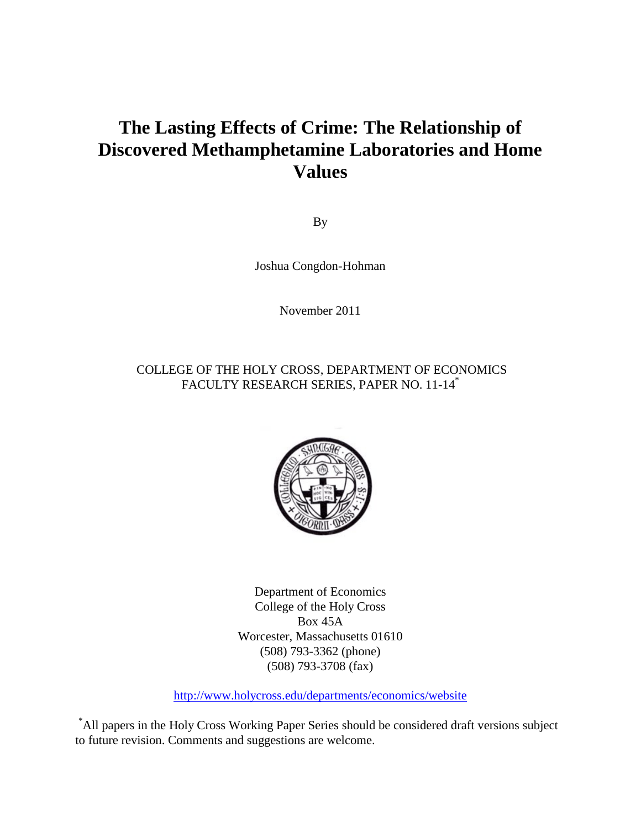# **The Lasting Effects of Crime: The Relationship of Discovered Methamphetamine Laboratories and Home Values**

By

Joshua Congdon-Hohman

November 2011

### COLLEGE OF THE HOLY CROSS, DEPARTMENT OF ECONOMICS FACULTY RESEARCH SERIES, PAPER NO. 11-14\*



Department of Economics College of the Holy Cross Box 45A Worcester, Massachusetts 01610 (508) 793-3362 (phone) (508) 793-3708 (fax)

http://www.holycross.edu/departments/economics/website

\*All papers in the Holy Cross Working Paper Series should be considered draft versions subject to future revision. Comments and suggestions are welcome.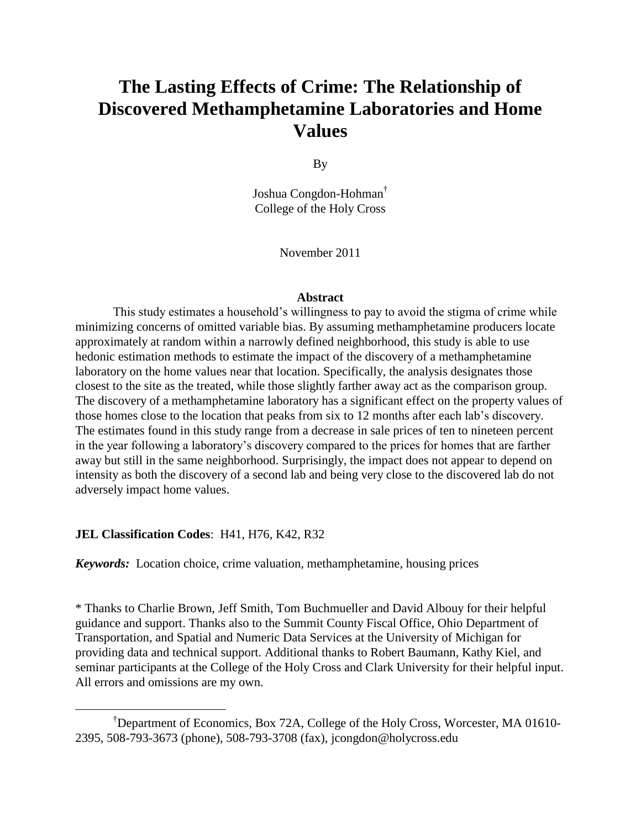# **The Lasting Effects of Crime: The Relationship of Discovered Methamphetamine Laboratories and Home Values**

By

Joshua Congdon-Hohman† College of the Holy Cross

November 2011

#### **Abstract**

This study estimates a household's willingness to pay to avoid the stigma of crime while minimizing concerns of omitted variable bias. By assuming methamphetamine producers locate approximately at random within a narrowly defined neighborhood, this study is able to use hedonic estimation methods to estimate the impact of the discovery of a methamphetamine laboratory on the home values near that location. Specifically, the analysis designates those closest to the site as the treated, while those slightly farther away act as the comparison group. The discovery of a methamphetamine laboratory has a significant effect on the property values of those homes close to the location that peaks from six to 12 months after each lab's discovery. The estimates found in this study range from a decrease in sale prices of ten to nineteen percent in the year following a laboratory's discovery compared to the prices for homes that are farther away but still in the same neighborhood. Surprisingly, the impact does not appear to depend on intensity as both the discovery of a second lab and being very close to the discovered lab do not adversely impact home values.

#### **JEL Classification Codes**: H41, H76, K42, R32

 $\overline{a}$ 

*Keywords:* Location choice, crime valuation, methamphetamine, housing prices

\* Thanks to Charlie Brown, Jeff Smith, Tom Buchmueller and David Albouy for their helpful guidance and support. Thanks also to the Summit County Fiscal Office, Ohio Department of Transportation, and Spatial and Numeric Data Services at the University of Michigan for providing data and technical support. Additional thanks to Robert Baumann, Kathy Kiel, and seminar participants at the College of the Holy Cross and Clark University for their helpful input. All errors and omissions are my own.

<sup>†</sup>Department of Economics, Box 72A, College of the Holy Cross, Worcester, MA 01610- 2395, 508-793-3673 (phone), 508-793-3708 (fax), jcongdon@holycross.edu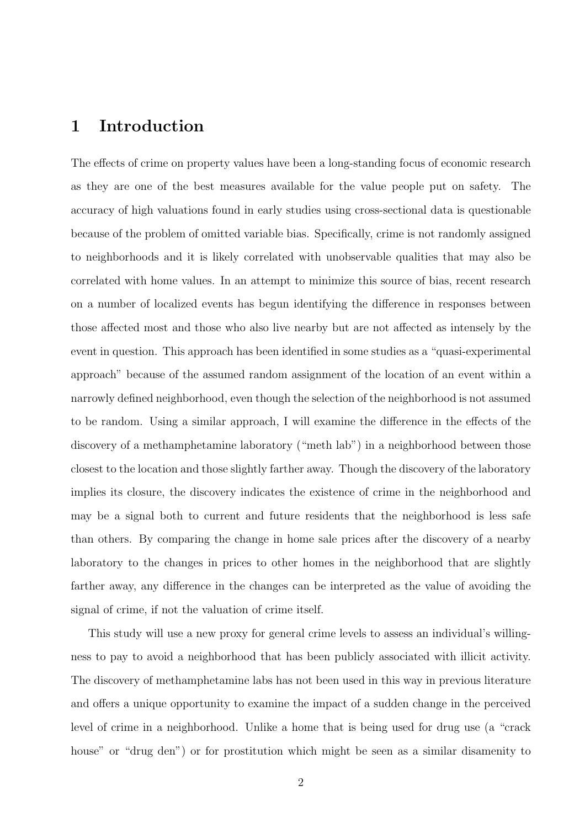# 1 Introduction

The effects of crime on property values have been a long-standing focus of economic research as they are one of the best measures available for the value people put on safety. The accuracy of high valuations found in early studies using cross-sectional data is questionable because of the problem of omitted variable bias. Specifically, crime is not randomly assigned to neighborhoods and it is likely correlated with unobservable qualities that may also be correlated with home values. In an attempt to minimize this source of bias, recent research on a number of localized events has begun identifying the difference in responses between those affected most and those who also live nearby but are not affected as intensely by the event in question. This approach has been identified in some studies as a "quasi-experimental approach" because of the assumed random assignment of the location of an event within a narrowly defined neighborhood, even though the selection of the neighborhood is not assumed to be random. Using a similar approach, I will examine the difference in the effects of the discovery of a methamphetamine laboratory ("meth lab") in a neighborhood between those closest to the location and those slightly farther away. Though the discovery of the laboratory implies its closure, the discovery indicates the existence of crime in the neighborhood and may be a signal both to current and future residents that the neighborhood is less safe than others. By comparing the change in home sale prices after the discovery of a nearby laboratory to the changes in prices to other homes in the neighborhood that are slightly farther away, any difference in the changes can be interpreted as the value of avoiding the signal of crime, if not the valuation of crime itself.

This study will use a new proxy for general crime levels to assess an individual's willingness to pay to avoid a neighborhood that has been publicly associated with illicit activity. The discovery of methamphetamine labs has not been used in this way in previous literature and offers a unique opportunity to examine the impact of a sudden change in the perceived level of crime in a neighborhood. Unlike a home that is being used for drug use (a "crack house" or "drug den") or for prostitution which might be seen as a similar disamenity to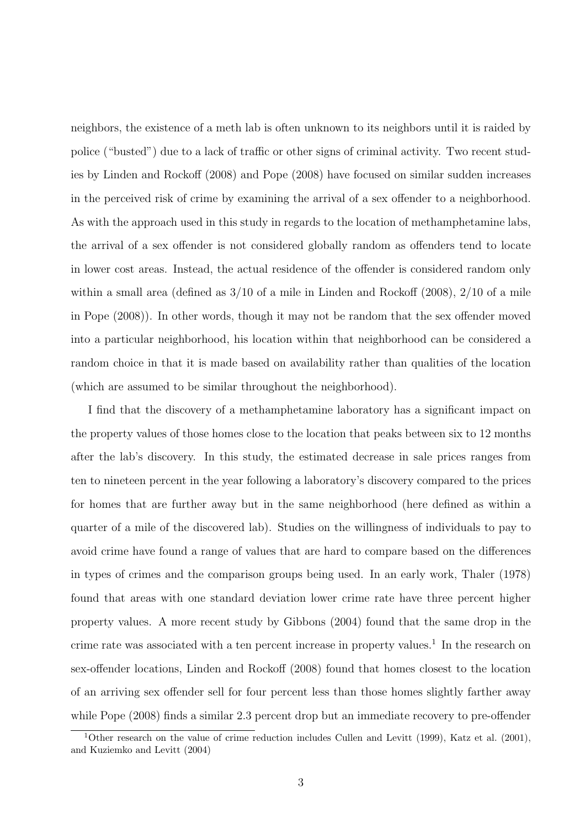neighbors, the existence of a meth lab is often unknown to its neighbors until it is raided by police ("busted") due to a lack of traffic or other signs of criminal activity. Two recent studies by Linden and Rockoff (2008) and Pope (2008) have focused on similar sudden increases in the perceived risk of crime by examining the arrival of a sex offender to a neighborhood. As with the approach used in this study in regards to the location of methamphetamine labs, the arrival of a sex offender is not considered globally random as offenders tend to locate in lower cost areas. Instead, the actual residence of the offender is considered random only within a small area (defined as  $3/10$  of a mile in Linden and Rockoff (2008),  $2/10$  of a mile in Pope (2008)). In other words, though it may not be random that the sex offender moved into a particular neighborhood, his location within that neighborhood can be considered a random choice in that it is made based on availability rather than qualities of the location (which are assumed to be similar throughout the neighborhood).

I find that the discovery of a methamphetamine laboratory has a significant impact on the property values of those homes close to the location that peaks between six to 12 months after the lab's discovery. In this study, the estimated decrease in sale prices ranges from ten to nineteen percent in the year following a laboratory's discovery compared to the prices for homes that are further away but in the same neighborhood (here defined as within a quarter of a mile of the discovered lab). Studies on the willingness of individuals to pay to avoid crime have found a range of values that are hard to compare based on the differences in types of crimes and the comparison groups being used. In an early work, Thaler (1978) found that areas with one standard deviation lower crime rate have three percent higher property values. A more recent study by Gibbons (2004) found that the same drop in the crime rate was associated with a ten percent increase in property values.<sup>1</sup> In the research on sex-offender locations, Linden and Rockoff (2008) found that homes closest to the location of an arriving sex offender sell for four percent less than those homes slightly farther away while Pope (2008) finds a similar 2.3 percent drop but an immediate recovery to pre-offender

<sup>&</sup>lt;sup>1</sup>Other research on the value of crime reduction includes Cullen and Levitt (1999), Katz et al. (2001), and Kuziemko and Levitt (2004)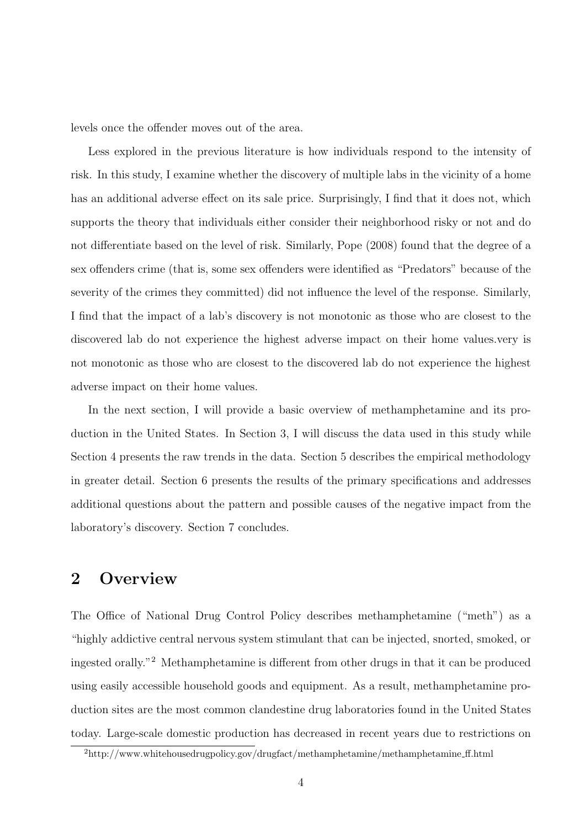levels once the offender moves out of the area.

Less explored in the previous literature is how individuals respond to the intensity of risk. In this study, I examine whether the discovery of multiple labs in the vicinity of a home has an additional adverse effect on its sale price. Surprisingly, I find that it does not, which supports the theory that individuals either consider their neighborhood risky or not and do not differentiate based on the level of risk. Similarly, Pope (2008) found that the degree of a sex offenders crime (that is, some sex offenders were identified as "Predators" because of the severity of the crimes they committed) did not influence the level of the response. Similarly, I find that the impact of a lab's discovery is not monotonic as those who are closest to the discovered lab do not experience the highest adverse impact on their home values.very is not monotonic as those who are closest to the discovered lab do not experience the highest adverse impact on their home values.

In the next section, I will provide a basic overview of methamphetamine and its production in the United States. In Section 3, I will discuss the data used in this study while Section 4 presents the raw trends in the data. Section 5 describes the empirical methodology in greater detail. Section 6 presents the results of the primary specifications and addresses additional questions about the pattern and possible causes of the negative impact from the laboratory's discovery. Section 7 concludes.

# 2 Overview

The Office of National Drug Control Policy describes methamphetamine ("meth") as a "highly addictive central nervous system stimulant that can be injected, snorted, smoked, or ingested orally."<sup>2</sup> Methamphetamine is different from other drugs in that it can be produced using easily accessible household goods and equipment. As a result, methamphetamine production sites are the most common clandestine drug laboratories found in the United States today. Large-scale domestic production has decreased in recent years due to restrictions on

<sup>2</sup>http://www.whitehousedrugpolicy.gov/drugfact/methamphetamine/methamphetamine ff.html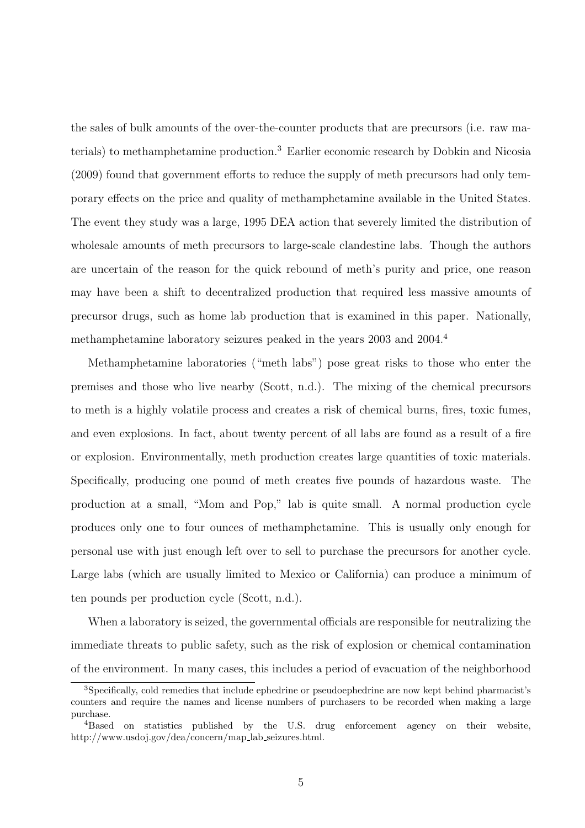the sales of bulk amounts of the over-the-counter products that are precursors (i.e. raw materials) to methamphetamine production.<sup>3</sup> Earlier economic research by Dobkin and Nicosia (2009) found that government efforts to reduce the supply of meth precursors had only temporary effects on the price and quality of methamphetamine available in the United States. The event they study was a large, 1995 DEA action that severely limited the distribution of wholesale amounts of meth precursors to large-scale clandestine labs. Though the authors are uncertain of the reason for the quick rebound of meth's purity and price, one reason may have been a shift to decentralized production that required less massive amounts of precursor drugs, such as home lab production that is examined in this paper. Nationally, methamphetamine laboratory seizures peaked in the years 2003 and 2004.<sup>4</sup>

Methamphetamine laboratories ("meth labs") pose great risks to those who enter the premises and those who live nearby (Scott, n.d.). The mixing of the chemical precursors to meth is a highly volatile process and creates a risk of chemical burns, fires, toxic fumes, and even explosions. In fact, about twenty percent of all labs are found as a result of a fire or explosion. Environmentally, meth production creates large quantities of toxic materials. Specifically, producing one pound of meth creates five pounds of hazardous waste. The production at a small, "Mom and Pop," lab is quite small. A normal production cycle produces only one to four ounces of methamphetamine. This is usually only enough for personal use with just enough left over to sell to purchase the precursors for another cycle. Large labs (which are usually limited to Mexico or California) can produce a minimum of ten pounds per production cycle (Scott, n.d.).

When a laboratory is seized, the governmental officials are responsible for neutralizing the immediate threats to public safety, such as the risk of explosion or chemical contamination of the environment. In many cases, this includes a period of evacuation of the neighborhood

<sup>3</sup>Specifically, cold remedies that include ephedrine or pseudoephedrine are now kept behind pharmacist's counters and require the names and license numbers of purchasers to be recorded when making a large purchase.

<sup>4</sup>Based on statistics published by the U.S. drug enforcement agency on their website, http://www.usdoj.gov/dea/concern/map lab seizures.html.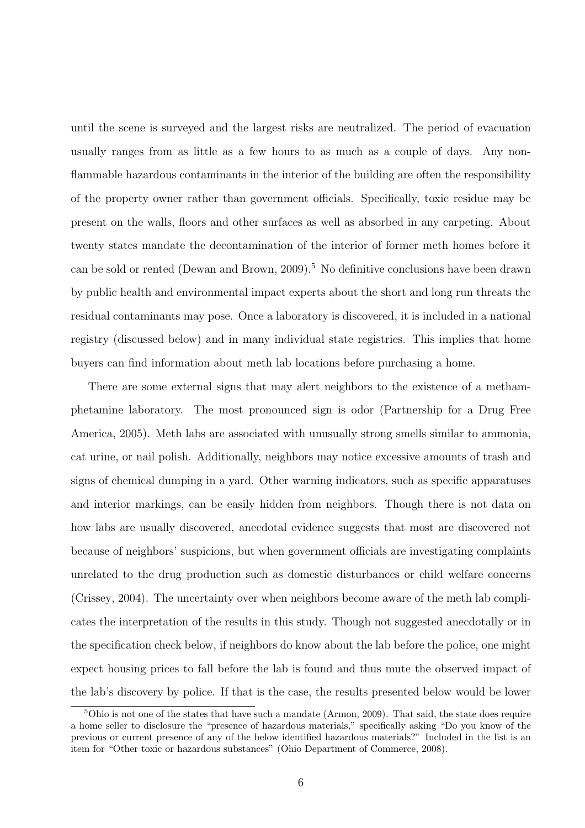until the scene is surveyed and the largest risks are neutralized. The period of evacuation usually ranges from as little as a few hours to as much as a couple of days. Any nonflammable hazardous contaminants in the interior of the building are often the responsibility of the property owner rather than government officials. Specifically, toxic residue may be present on the walls, floors and other surfaces as well as absorbed in any carpeting. About twenty states mandate the decontamination of the interior of former meth homes before it can be sold or rented (Dewan and Brown, 2009).<sup>5</sup> No definitive conclusions have been drawn by public health and environmental impact experts about the short and long run threats the residual contaminants may pose. Once a laboratory is discovered, it is included in a national registry (discussed below) and in many individual state registries. This implies that home buyers can find information about meth lab locations before purchasing a home.

There are some external signs that may alert neighbors to the existence of a methamphetamine laboratory. The most pronounced sign is odor (Partnership for a Drug Free America, 2005). Meth labs are associated with unusually strong smells similar to ammonia, cat urine, or nail polish. Additionally, neighbors may notice excessive amounts of trash and signs of chemical dumping in a yard. Other warning indicators, such as specific apparatuses and interior markings, can be easily hidden from neighbors. Though there is not data on how labs are usually discovered, anecdotal evidence suggests that most are discovered not because of neighbors' suspicions, but when government officials are investigating complaints unrelated to the drug production such as domestic disturbances or child welfare concerns (Crissey, 2004). The uncertainty over when neighbors become aware of the meth lab complicates the interpretation of the results in this study. Though not suggested anecdotally or in the specification check below, if neighbors do know about the lab before the police, one might expect housing prices to fall before the lab is found and thus mute the observed impact of the lab's discovery by police. If that is the case, the results presented below would be lower

<sup>5</sup>Ohio is not one of the states that have such a mandate (Armon, 2009). That said, the state does require a home seller to disclosure the "presence of hazardous materials," specifically asking "Do you know of the previous or current presence of any of the below identified hazardous materials?" Included in the list is an item for "Other toxic or hazardous substances" (Ohio Department of Commerce, 2008).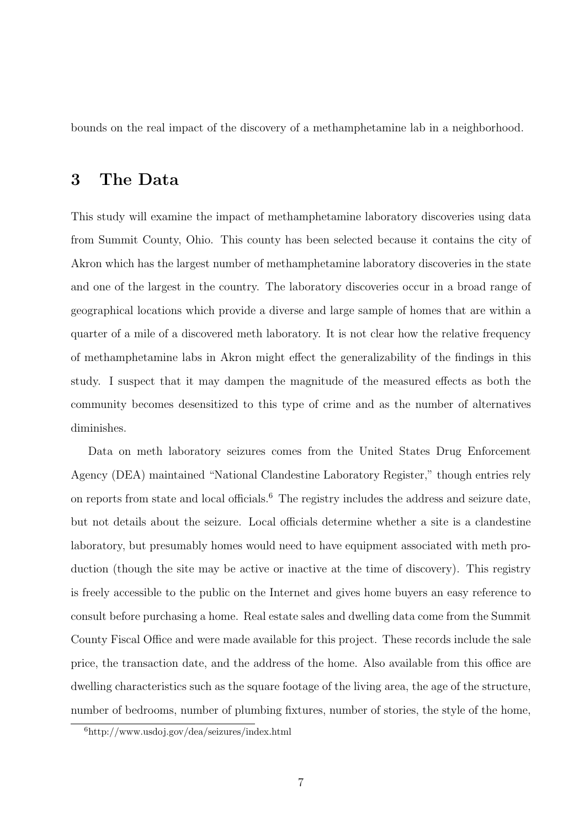bounds on the real impact of the discovery of a methamphetamine lab in a neighborhood.

## 3 The Data

This study will examine the impact of methamphetamine laboratory discoveries using data from Summit County, Ohio. This county has been selected because it contains the city of Akron which has the largest number of methamphetamine laboratory discoveries in the state and one of the largest in the country. The laboratory discoveries occur in a broad range of geographical locations which provide a diverse and large sample of homes that are within a quarter of a mile of a discovered meth laboratory. It is not clear how the relative frequency of methamphetamine labs in Akron might effect the generalizability of the findings in this study. I suspect that it may dampen the magnitude of the measured effects as both the community becomes desensitized to this type of crime and as the number of alternatives diminishes.

Data on meth laboratory seizures comes from the United States Drug Enforcement Agency (DEA) maintained "National Clandestine Laboratory Register," though entries rely on reports from state and local officials.<sup>6</sup> The registry includes the address and seizure date, but not details about the seizure. Local officials determine whether a site is a clandestine laboratory, but presumably homes would need to have equipment associated with meth production (though the site may be active or inactive at the time of discovery). This registry is freely accessible to the public on the Internet and gives home buyers an easy reference to consult before purchasing a home. Real estate sales and dwelling data come from the Summit County Fiscal Office and were made available for this project. These records include the sale price, the transaction date, and the address of the home. Also available from this office are dwelling characteristics such as the square footage of the living area, the age of the structure, number of bedrooms, number of plumbing fixtures, number of stories, the style of the home,

<sup>6</sup>http://www.usdoj.gov/dea/seizures/index.html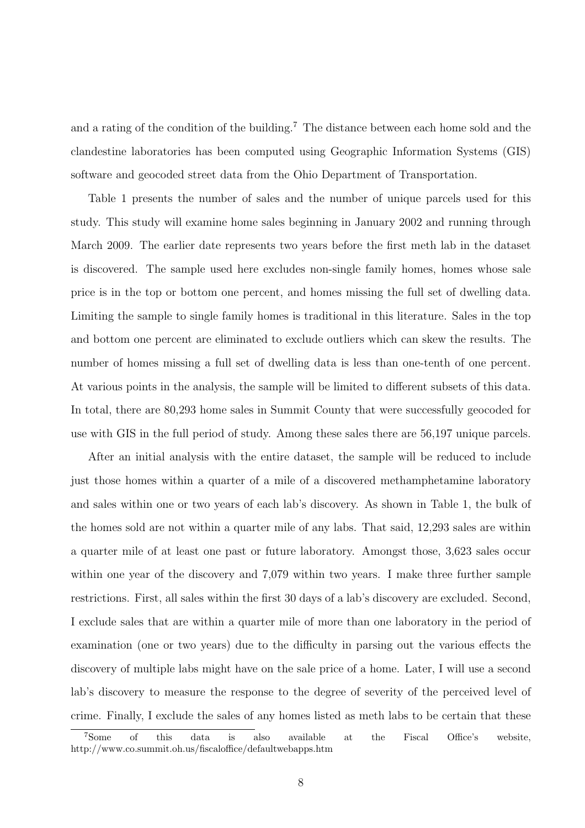and a rating of the condition of the building.<sup>7</sup> The distance between each home sold and the clandestine laboratories has been computed using Geographic Information Systems (GIS) software and geocoded street data from the Ohio Department of Transportation.

Table 1 presents the number of sales and the number of unique parcels used for this study. This study will examine home sales beginning in January 2002 and running through March 2009. The earlier date represents two years before the first meth lab in the dataset is discovered. The sample used here excludes non-single family homes, homes whose sale price is in the top or bottom one percent, and homes missing the full set of dwelling data. Limiting the sample to single family homes is traditional in this literature. Sales in the top and bottom one percent are eliminated to exclude outliers which can skew the results. The number of homes missing a full set of dwelling data is less than one-tenth of one percent. At various points in the analysis, the sample will be limited to different subsets of this data. In total, there are 80,293 home sales in Summit County that were successfully geocoded for use with GIS in the full period of study. Among these sales there are 56,197 unique parcels.

After an initial analysis with the entire dataset, the sample will be reduced to include just those homes within a quarter of a mile of a discovered methamphetamine laboratory and sales within one or two years of each lab's discovery. As shown in Table 1, the bulk of the homes sold are not within a quarter mile of any labs. That said, 12,293 sales are within a quarter mile of at least one past or future laboratory. Amongst those, 3,623 sales occur within one year of the discovery and 7,079 within two years. I make three further sample restrictions. First, all sales within the first 30 days of a lab's discovery are excluded. Second, I exclude sales that are within a quarter mile of more than one laboratory in the period of examination (one or two years) due to the difficulty in parsing out the various effects the discovery of multiple labs might have on the sale price of a home. Later, I will use a second lab's discovery to measure the response to the degree of severity of the perceived level of crime. Finally, I exclude the sales of any homes listed as meth labs to be certain that these

<sup>7</sup>Some of this data is also available at the Fiscal Office's website, http://www.co.summit.oh.us/fiscaloffice/defaultwebapps.htm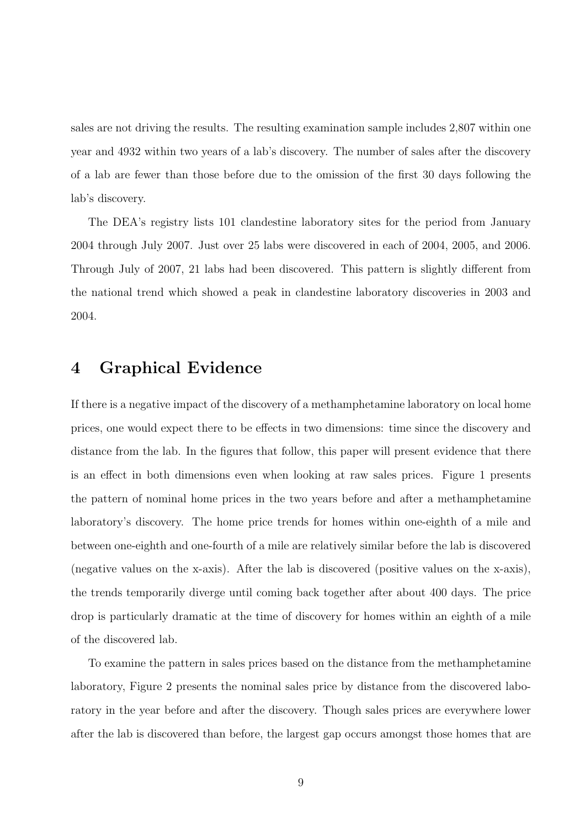sales are not driving the results. The resulting examination sample includes 2,807 within one year and 4932 within two years of a lab's discovery. The number of sales after the discovery of a lab are fewer than those before due to the omission of the first 30 days following the lab's discovery.

The DEA's registry lists 101 clandestine laboratory sites for the period from January 2004 through July 2007. Just over 25 labs were discovered in each of 2004, 2005, and 2006. Through July of 2007, 21 labs had been discovered. This pattern is slightly different from the national trend which showed a peak in clandestine laboratory discoveries in 2003 and 2004.

## 4 Graphical Evidence

If there is a negative impact of the discovery of a methamphetamine laboratory on local home prices, one would expect there to be effects in two dimensions: time since the discovery and distance from the lab. In the figures that follow, this paper will present evidence that there is an effect in both dimensions even when looking at raw sales prices. Figure 1 presents the pattern of nominal home prices in the two years before and after a methamphetamine laboratory's discovery. The home price trends for homes within one-eighth of a mile and between one-eighth and one-fourth of a mile are relatively similar before the lab is discovered (negative values on the x-axis). After the lab is discovered (positive values on the x-axis), the trends temporarily diverge until coming back together after about 400 days. The price drop is particularly dramatic at the time of discovery for homes within an eighth of a mile of the discovered lab.

To examine the pattern in sales prices based on the distance from the methamphetamine laboratory, Figure 2 presents the nominal sales price by distance from the discovered laboratory in the year before and after the discovery. Though sales prices are everywhere lower after the lab is discovered than before, the largest gap occurs amongst those homes that are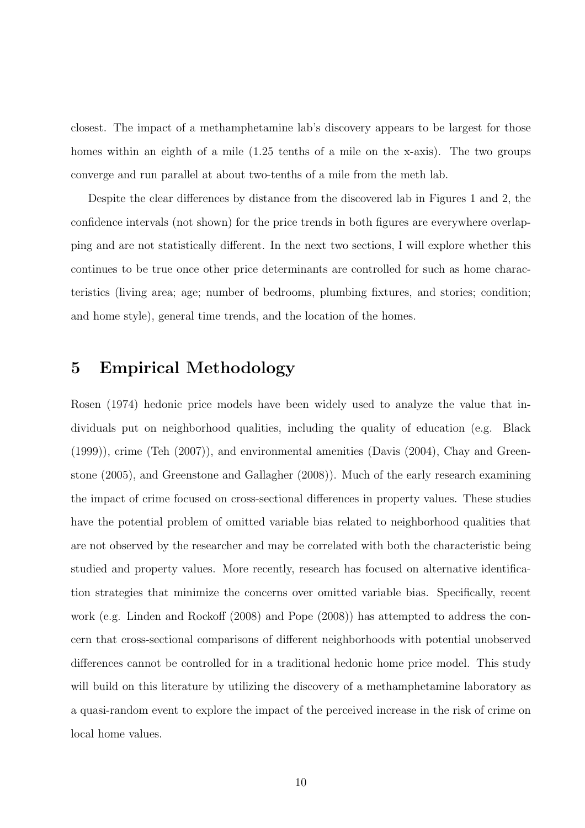closest. The impact of a methamphetamine lab's discovery appears to be largest for those homes within an eighth of a mile (1.25 tenths of a mile on the x-axis). The two groups converge and run parallel at about two-tenths of a mile from the meth lab.

Despite the clear differences by distance from the discovered lab in Figures 1 and 2, the confidence intervals (not shown) for the price trends in both figures are everywhere overlapping and are not statistically different. In the next two sections, I will explore whether this continues to be true once other price determinants are controlled for such as home characteristics (living area; age; number of bedrooms, plumbing fixtures, and stories; condition; and home style), general time trends, and the location of the homes.

# 5 Empirical Methodology

Rosen (1974) hedonic price models have been widely used to analyze the value that individuals put on neighborhood qualities, including the quality of education (e.g. Black (1999)), crime (Teh (2007)), and environmental amenities (Davis (2004), Chay and Greenstone (2005), and Greenstone and Gallagher (2008)). Much of the early research examining the impact of crime focused on cross-sectional differences in property values. These studies have the potential problem of omitted variable bias related to neighborhood qualities that are not observed by the researcher and may be correlated with both the characteristic being studied and property values. More recently, research has focused on alternative identification strategies that minimize the concerns over omitted variable bias. Specifically, recent work (e.g. Linden and Rockoff (2008) and Pope (2008)) has attempted to address the concern that cross-sectional comparisons of different neighborhoods with potential unobserved differences cannot be controlled for in a traditional hedonic home price model. This study will build on this literature by utilizing the discovery of a methamphetamine laboratory as a quasi-random event to explore the impact of the perceived increase in the risk of crime on local home values.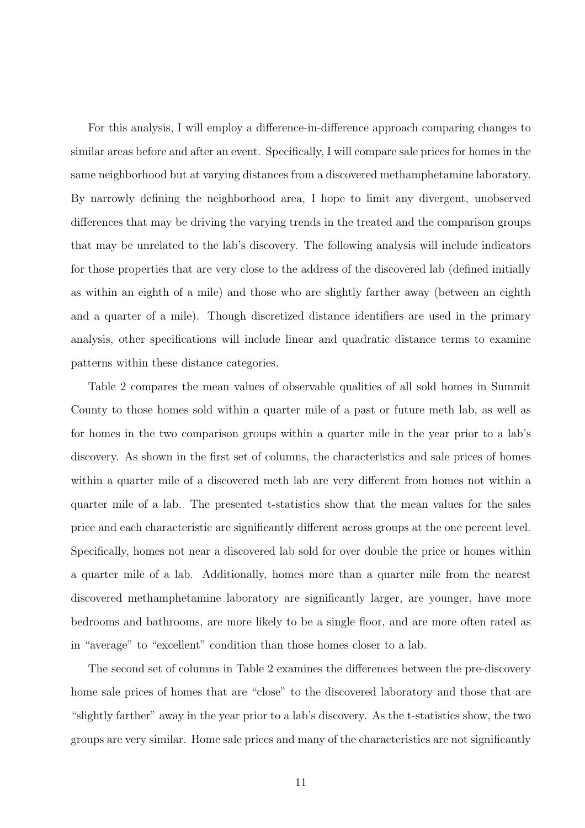For this analysis, I will employ a difference-in-difference approach comparing changes to similar areas before and after an event. Specifically, I will compare sale prices for homes in the same neighborhood but at varying distances from a discovered methamphetamine laboratory. By narrowly defining the neighborhood area, I hope to limit any divergent, unobserved differences that may be driving the varying trends in the treated and the comparison groups that may be unrelated to the lab's discovery. The following analysis will include indicators for those properties that are very close to the address of the discovered lab (defined initially as within an eighth of a mile) and those who are slightly farther away (between an eighth and a quarter of a mile). Though discretized distance identifiers are used in the primary analysis, other specifications will include linear and quadratic distance terms to examine patterns within these distance categories.

Table 2 compares the mean values of observable qualities of all sold homes in Summit County to those homes sold within a quarter mile of a past or future meth lab, as well as for homes in the two comparison groups within a quarter mile in the year prior to a lab's discovery. As shown in the first set of columns, the characteristics and sale prices of homes within a quarter mile of a discovered meth lab are very different from homes not within a quarter mile of a lab. The presented t-statistics show that the mean values for the sales price and each characteristic are significantly different across groups at the one percent level. Specifically, homes not near a discovered lab sold for over double the price or homes within a quarter mile of a lab. Additionally, homes more than a quarter mile from the nearest discovered methamphetamine laboratory are significantly larger, are younger, have more bedrooms and bathrooms, are more likely to be a single floor, and are more often rated as in "average" to "excellent" condition than those homes closer to a lab.

The second set of columns in Table 2 examines the differences between the pre-discovery home sale prices of homes that are "close" to the discovered laboratory and those that are "slightly farther" away in the year prior to a lab's discovery. As the t-statistics show, the two groups are very similar. Home sale prices and many of the characteristics are not significantly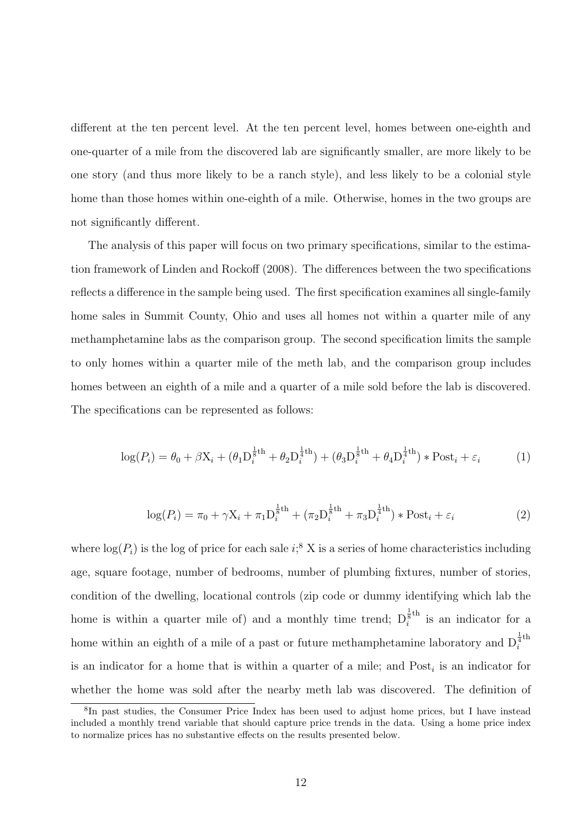different at the ten percent level. At the ten percent level, homes between one-eighth and one-quarter of a mile from the discovered lab are significantly smaller, are more likely to be one story (and thus more likely to be a ranch style), and less likely to be a colonial style home than those homes within one-eighth of a mile. Otherwise, homes in the two groups are not significantly different.

The analysis of this paper will focus on two primary specifications, similar to the estimation framework of Linden and Rockoff (2008). The differences between the two specifications reflects a difference in the sample being used. The first specification examines all single-family home sales in Summit County, Ohio and uses all homes not within a quarter mile of any methamphetamine labs as the comparison group. The second specification limits the sample to only homes within a quarter mile of the meth lab, and the comparison group includes homes between an eighth of a mile and a quarter of a mile sold before the lab is discovered. The specifications can be represented as follows:

$$
\log(P_i) = \theta_0 + \beta \mathbf{X}_i + (\theta_1 \mathbf{D}_i^{\frac{1}{8}\text{th}} + \theta_2 \mathbf{D}_i^{\frac{1}{4}\text{th}}) + (\theta_3 \mathbf{D}_i^{\frac{1}{8}\text{th}} + \theta_4 \mathbf{D}_i^{\frac{1}{4}\text{th}}) * \text{Post}_i + \varepsilon_i
$$
 (1)

$$
\log(P_i) = \pi_0 + \gamma X_i + \pi_1 D_i^{\frac{1}{8}th} + (\pi_2 D_i^{\frac{1}{8}th} + \pi_3 D_i^{\frac{1}{4}th}) * \text{Post}_i + \varepsilon_i
$$
 (2)

where  $log(P_i)$  is the log of price for each sale  $i$ <sup>8</sup>, X is a series of home characteristics including age, square footage, number of bedrooms, number of plumbing fixtures, number of stories, condition of the dwelling, locational controls (zip code or dummy identifying which lab the home is within a quarter mile of) and a monthly time trend;  $D_i^{\frac{1}{5}th}$  $i$ <sup>s<sup>um</sup> is an indicator for a</sup> home within an eighth of a mile of a past or future methamphetamine laboratory and  $D_i^{\frac{1}{4}th}$ i is an indicator for a home that is within a quarter of a mile; and  $Post<sub>i</sub>$  is an indicator for whether the home was sold after the nearby meth lab was discovered. The definition of

<sup>&</sup>lt;sup>8</sup>In past studies, the Consumer Price Index has been used to adjust home prices, but I have instead included a monthly trend variable that should capture price trends in the data. Using a home price index to normalize prices has no substantive effects on the results presented below.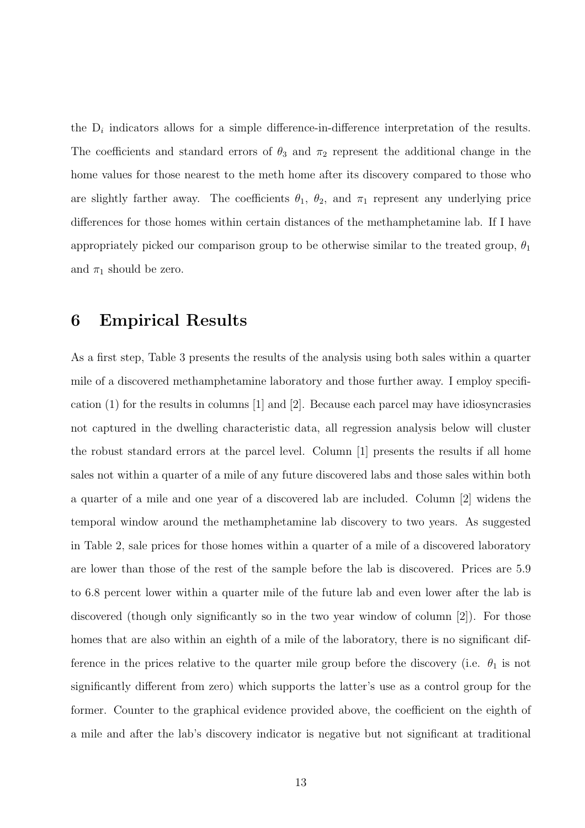the  $D_i$  indicators allows for a simple difference-in-difference interpretation of the results. The coefficients and standard errors of  $\theta_3$  and  $\pi_2$  represent the additional change in the home values for those nearest to the meth home after its discovery compared to those who are slightly farther away. The coefficients  $\theta_1$ ,  $\theta_2$ , and  $\pi_1$  represent any underlying price differences for those homes within certain distances of the methamphetamine lab. If I have appropriately picked our comparison group to be otherwise similar to the treated group,  $\theta_1$ and  $\pi_1$  should be zero.

### 6 Empirical Results

As a first step, Table 3 presents the results of the analysis using both sales within a quarter mile of a discovered methamphetamine laboratory and those further away. I employ specification  $(1)$  for the results in columns  $[1]$  and  $[2]$ . Because each parcel may have idiosyncrasies not captured in the dwelling characteristic data, all regression analysis below will cluster the robust standard errors at the parcel level. Column [1] presents the results if all home sales not within a quarter of a mile of any future discovered labs and those sales within both a quarter of a mile and one year of a discovered lab are included. Column [2] widens the temporal window around the methamphetamine lab discovery to two years. As suggested in Table 2, sale prices for those homes within a quarter of a mile of a discovered laboratory are lower than those of the rest of the sample before the lab is discovered. Prices are 5.9 to 6.8 percent lower within a quarter mile of the future lab and even lower after the lab is discovered (though only significantly so in the two year window of column [2]). For those homes that are also within an eighth of a mile of the laboratory, there is no significant difference in the prices relative to the quarter mile group before the discovery (i.e.  $\theta_1$  is not significantly different from zero) which supports the latter's use as a control group for the former. Counter to the graphical evidence provided above, the coefficient on the eighth of a mile and after the lab's discovery indicator is negative but not significant at traditional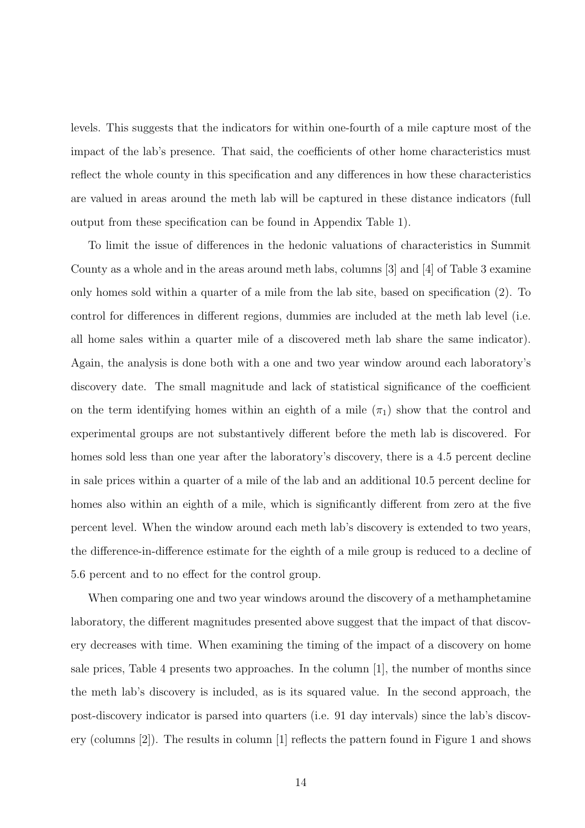levels. This suggests that the indicators for within one-fourth of a mile capture most of the impact of the lab's presence. That said, the coefficients of other home characteristics must reflect the whole county in this specification and any differences in how these characteristics are valued in areas around the meth lab will be captured in these distance indicators (full output from these specification can be found in Appendix Table 1).

To limit the issue of differences in the hedonic valuations of characteristics in Summit County as a whole and in the areas around meth labs, columns [3] and [4] of Table 3 examine only homes sold within a quarter of a mile from the lab site, based on specification (2). To control for differences in different regions, dummies are included at the meth lab level (i.e. all home sales within a quarter mile of a discovered meth lab share the same indicator). Again, the analysis is done both with a one and two year window around each laboratory's discovery date. The small magnitude and lack of statistical significance of the coefficient on the term identifying homes within an eighth of a mile  $(\pi_1)$  show that the control and experimental groups are not substantively different before the meth lab is discovered. For homes sold less than one year after the laboratory's discovery, there is a 4.5 percent decline in sale prices within a quarter of a mile of the lab and an additional 10.5 percent decline for homes also within an eighth of a mile, which is significantly different from zero at the five percent level. When the window around each meth lab's discovery is extended to two years, the difference-in-difference estimate for the eighth of a mile group is reduced to a decline of 5.6 percent and to no effect for the control group.

When comparing one and two year windows around the discovery of a methamphetamine laboratory, the different magnitudes presented above suggest that the impact of that discovery decreases with time. When examining the timing of the impact of a discovery on home sale prices, Table 4 presents two approaches. In the column [1], the number of months since the meth lab's discovery is included, as is its squared value. In the second approach, the post-discovery indicator is parsed into quarters (i.e. 91 day intervals) since the lab's discovery (columns [2]). The results in column [1] reflects the pattern found in Figure 1 and shows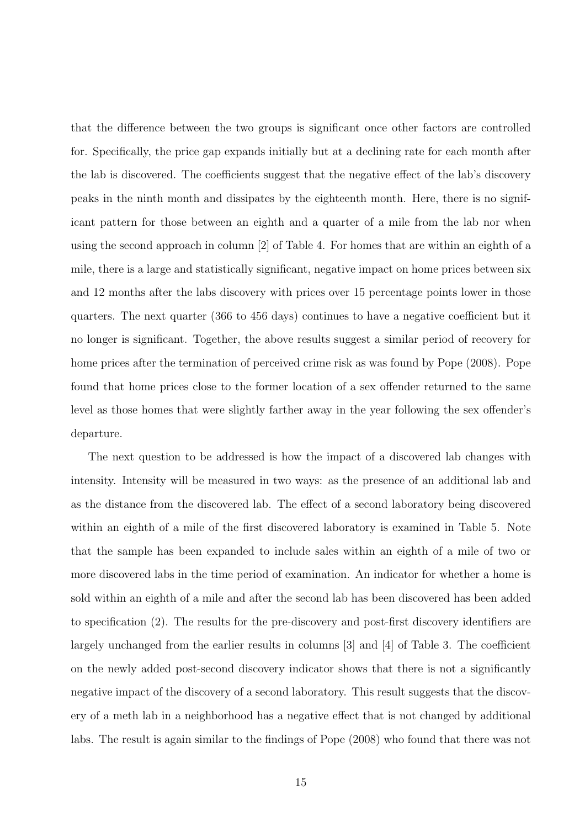that the difference between the two groups is significant once other factors are controlled for. Specifically, the price gap expands initially but at a declining rate for each month after the lab is discovered. The coefficients suggest that the negative effect of the lab's discovery peaks in the ninth month and dissipates by the eighteenth month. Here, there is no significant pattern for those between an eighth and a quarter of a mile from the lab nor when using the second approach in column [2] of Table 4. For homes that are within an eighth of a mile, there is a large and statistically significant, negative impact on home prices between six and 12 months after the labs discovery with prices over 15 percentage points lower in those quarters. The next quarter (366 to 456 days) continues to have a negative coefficient but it no longer is significant. Together, the above results suggest a similar period of recovery for home prices after the termination of perceived crime risk as was found by Pope (2008). Pope found that home prices close to the former location of a sex offender returned to the same level as those homes that were slightly farther away in the year following the sex offender's departure.

The next question to be addressed is how the impact of a discovered lab changes with intensity. Intensity will be measured in two ways: as the presence of an additional lab and as the distance from the discovered lab. The effect of a second laboratory being discovered within an eighth of a mile of the first discovered laboratory is examined in Table 5. Note that the sample has been expanded to include sales within an eighth of a mile of two or more discovered labs in the time period of examination. An indicator for whether a home is sold within an eighth of a mile and after the second lab has been discovered has been added to specification (2). The results for the pre-discovery and post-first discovery identifiers are largely unchanged from the earlier results in columns [3] and [4] of Table 3. The coefficient on the newly added post-second discovery indicator shows that there is not a significantly negative impact of the discovery of a second laboratory. This result suggests that the discovery of a meth lab in a neighborhood has a negative effect that is not changed by additional labs. The result is again similar to the findings of Pope (2008) who found that there was not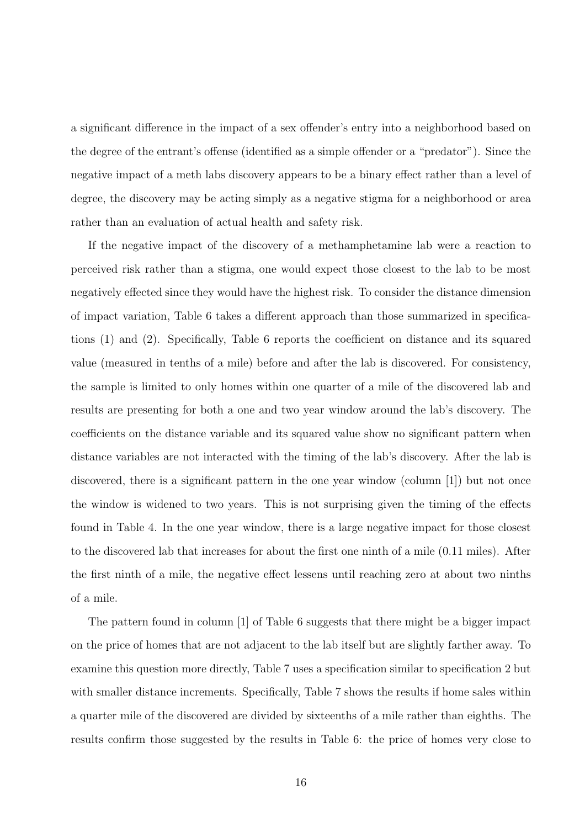a significant difference in the impact of a sex offender's entry into a neighborhood based on the degree of the entrant's offense (identified as a simple offender or a "predator"). Since the negative impact of a meth labs discovery appears to be a binary effect rather than a level of degree, the discovery may be acting simply as a negative stigma for a neighborhood or area rather than an evaluation of actual health and safety risk.

If the negative impact of the discovery of a methamphetamine lab were a reaction to perceived risk rather than a stigma, one would expect those closest to the lab to be most negatively effected since they would have the highest risk. To consider the distance dimension of impact variation, Table 6 takes a different approach than those summarized in specifications (1) and (2). Specifically, Table 6 reports the coefficient on distance and its squared value (measured in tenths of a mile) before and after the lab is discovered. For consistency, the sample is limited to only homes within one quarter of a mile of the discovered lab and results are presenting for both a one and two year window around the lab's discovery. The coefficients on the distance variable and its squared value show no significant pattern when distance variables are not interacted with the timing of the lab's discovery. After the lab is discovered, there is a significant pattern in the one year window (column [1]) but not once the window is widened to two years. This is not surprising given the timing of the effects found in Table 4. In the one year window, there is a large negative impact for those closest to the discovered lab that increases for about the first one ninth of a mile (0.11 miles). After the first ninth of a mile, the negative effect lessens until reaching zero at about two ninths of a mile.

The pattern found in column [1] of Table 6 suggests that there might be a bigger impact on the price of homes that are not adjacent to the lab itself but are slightly farther away. To examine this question more directly, Table 7 uses a specification similar to specification 2 but with smaller distance increments. Specifically, Table 7 shows the results if home sales within a quarter mile of the discovered are divided by sixteenths of a mile rather than eighths. The results confirm those suggested by the results in Table 6: the price of homes very close to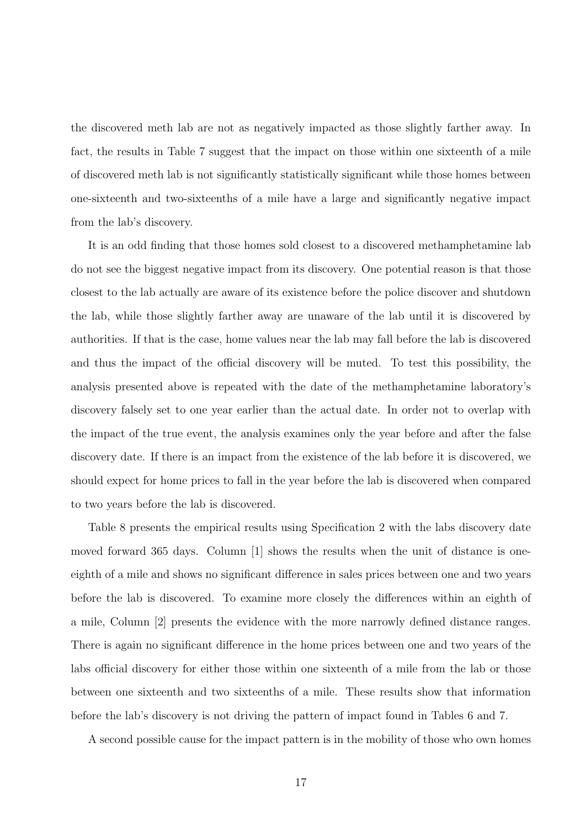the discovered meth lab are not as negatively impacted as those slightly farther away. In fact, the results in Table 7 suggest that the impact on those within one sixteenth of a mile of discovered meth lab is not significantly statistically significant while those homes between one-sixteenth and two-sixteenths of a mile have a large and significantly negative impact from the lab's discovery.

It is an odd finding that those homes sold closest to a discovered methamphetamine lab do not see the biggest negative impact from its discovery. One potential reason is that those closest to the lab actually are aware of its existence before the police discover and shutdown the lab, while those slightly farther away are unaware of the lab until it is discovered by authorities. If that is the case, home values near the lab may fall before the lab is discovered and thus the impact of the official discovery will be muted. To test this possibility, the analysis presented above is repeated with the date of the methamphetamine laboratory's discovery falsely set to one year earlier than the actual date. In order not to overlap with the impact of the true event, the analysis examines only the year before and after the false discovery date. If there is an impact from the existence of the lab before it is discovered, we should expect for home prices to fall in the year before the lab is discovered when compared to two years before the lab is discovered.

Table 8 presents the empirical results using Specification 2 with the labs discovery date moved forward 365 days. Column [1] shows the results when the unit of distance is oneeighth of a mile and shows no significant difference in sales prices between one and two years before the lab is discovered. To examine more closely the differences within an eighth of a mile, Column [2] presents the evidence with the more narrowly defined distance ranges. There is again no significant difference in the home prices between one and two years of the labs official discovery for either those within one sixteenth of a mile from the lab or those between one sixteenth and two sixteenths of a mile. These results show that information before the lab's discovery is not driving the pattern of impact found in Tables 6 and 7.

A second possible cause for the impact pattern is in the mobility of those who own homes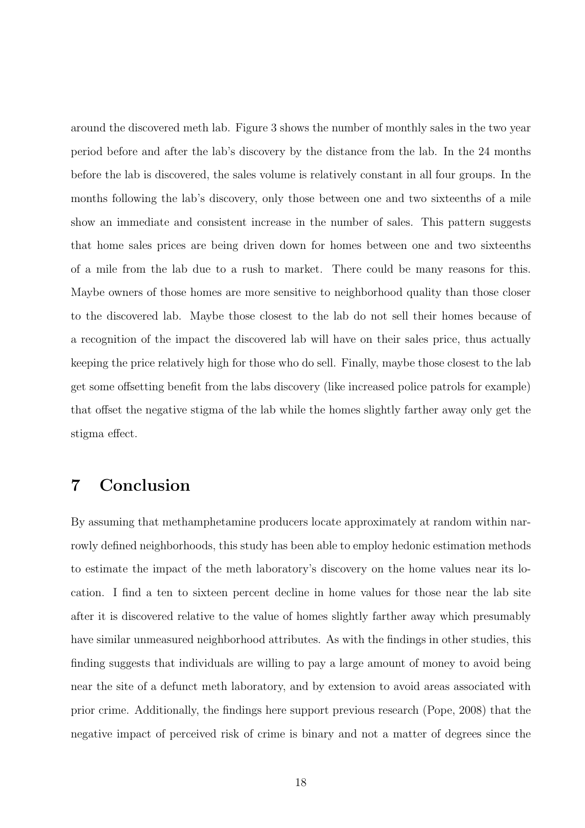around the discovered meth lab. Figure 3 shows the number of monthly sales in the two year period before and after the lab's discovery by the distance from the lab. In the 24 months before the lab is discovered, the sales volume is relatively constant in all four groups. In the months following the lab's discovery, only those between one and two sixteenths of a mile show an immediate and consistent increase in the number of sales. This pattern suggests that home sales prices are being driven down for homes between one and two sixteenths of a mile from the lab due to a rush to market. There could be many reasons for this. Maybe owners of those homes are more sensitive to neighborhood quality than those closer to the discovered lab. Maybe those closest to the lab do not sell their homes because of a recognition of the impact the discovered lab will have on their sales price, thus actually keeping the price relatively high for those who do sell. Finally, maybe those closest to the lab get some offsetting benefit from the labs discovery (like increased police patrols for example) that offset the negative stigma of the lab while the homes slightly farther away only get the stigma effect.

# 7 Conclusion

By assuming that methamphetamine producers locate approximately at random within narrowly defined neighborhoods, this study has been able to employ hedonic estimation methods to estimate the impact of the meth laboratory's discovery on the home values near its location. I find a ten to sixteen percent decline in home values for those near the lab site after it is discovered relative to the value of homes slightly farther away which presumably have similar unmeasured neighborhood attributes. As with the findings in other studies, this finding suggests that individuals are willing to pay a large amount of money to avoid being near the site of a defunct meth laboratory, and by extension to avoid areas associated with prior crime. Additionally, the findings here support previous research (Pope, 2008) that the negative impact of perceived risk of crime is binary and not a matter of degrees since the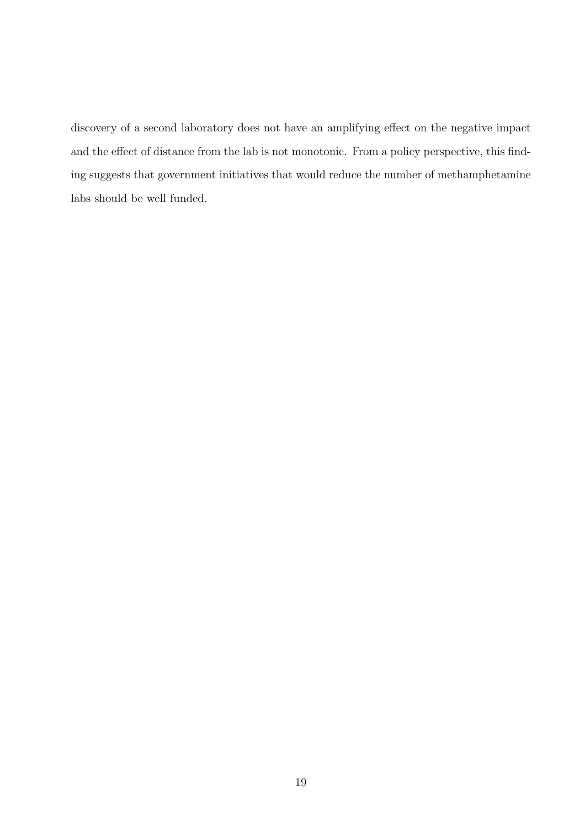discovery of a second laboratory does not have an amplifying effect on the negative impact and the effect of distance from the lab is not monotonic. From a policy perspective, this finding suggests that government initiatives that would reduce the number of methamphetamine labs should be well funded.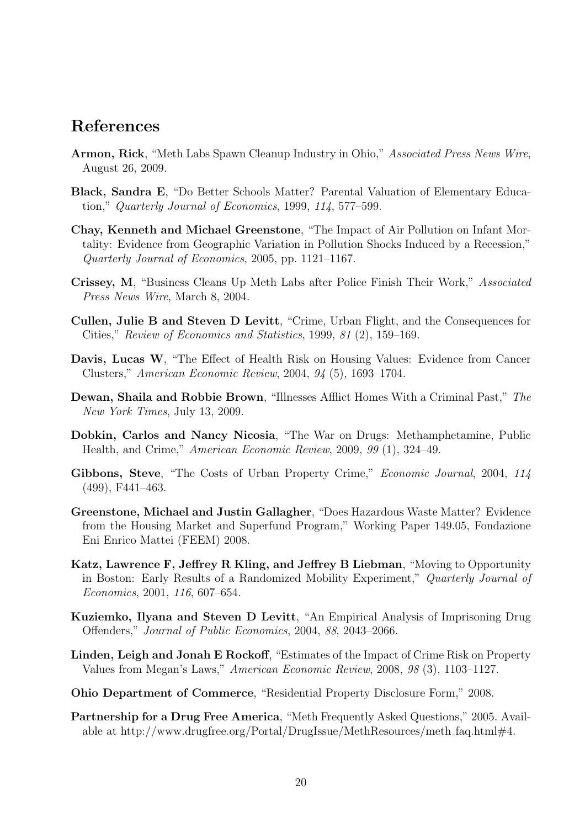# References

- Armon, Rick, "Meth Labs Spawn Cleanup Industry in Ohio," Associated Press News Wire, August 26, 2009.
- Black, Sandra E, "Do Better Schools Matter? Parental Valuation of Elementary Education," Quarterly Journal of Economics, 1999, 114, 577–599.
- Chay, Kenneth and Michael Greenstone, "The Impact of Air Pollution on Infant Mortality: Evidence from Geographic Variation in Pollution Shocks Induced by a Recession," Quarterly Journal of Economics, 2005, pp. 1121–1167.
- Crissey, M, "Business Cleans Up Meth Labs after Police Finish Their Work," Associated Press News Wire, March 8, 2004.
- Cullen, Julie B and Steven D Levitt, "Crime, Urban Flight, and the Consequences for Cities," Review of Economics and Statistics, 1999, 81 (2), 159–169.
- Davis, Lucas W, "The Effect of Health Risk on Housing Values: Evidence from Cancer Clusters," American Economic Review, 2004, 94 (5), 1693–1704.
- Dewan, Shaila and Robbie Brown, "Illnesses Afflict Homes With a Criminal Past," The New York Times, July 13, 2009.
- Dobkin, Carlos and Nancy Nicosia, "The War on Drugs: Methamphetamine, Public Health, and Crime," American Economic Review, 2009, 99 (1), 324–49.
- Gibbons, Steve, "The Costs of Urban Property Crime," *Economic Journal*, 2004, 114 (499), F441–463.
- Greenstone, Michael and Justin Gallagher, "Does Hazardous Waste Matter? Evidence from the Housing Market and Superfund Program," Working Paper 149.05, Fondazione Eni Enrico Mattei (FEEM) 2008.
- Katz, Lawrence F, Jeffrey R Kling, and Jeffrey B Liebman, "Moving to Opportunity in Boston: Early Results of a Randomized Mobility Experiment," Quarterly Journal of Economics, 2001, 116, 607–654.
- Kuziemko, Ilyana and Steven D Levitt, "An Empirical Analysis of Imprisoning Drug Offenders," Journal of Public Economics, 2004, 88, 2043–2066.
- Linden, Leigh and Jonah E Rockoff, "Estimates of the Impact of Crime Risk on Property Values from Megan's Laws," American Economic Review, 2008, 98 (3), 1103–1127.
- Ohio Department of Commerce, "Residential Property Disclosure Form," 2008.
- Partnership for a Drug Free America, "Meth Frequently Asked Questions," 2005. Available at http://www.drugfree.org/Portal/DrugIssue/MethResources/meth faq.html#4.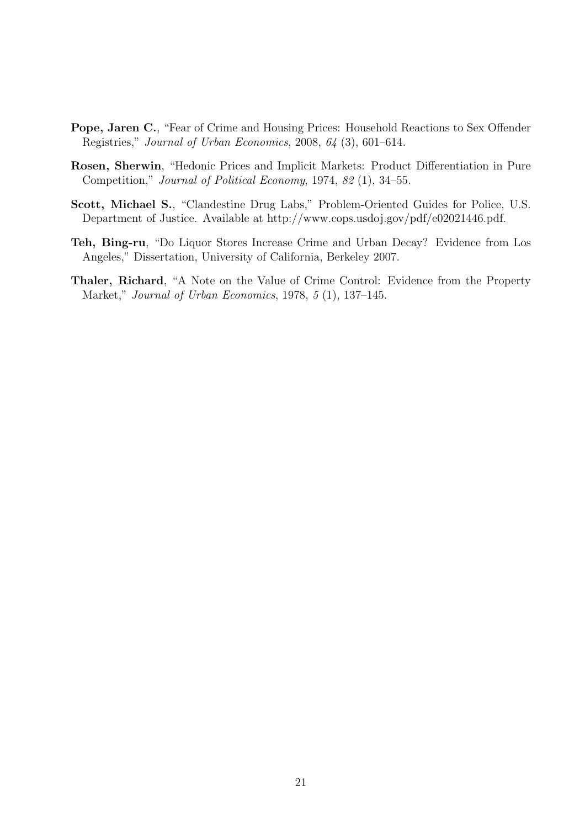- Pope, Jaren C., "Fear of Crime and Housing Prices: Household Reactions to Sex Offender Registries," Journal of Urban Economics, 2008, 64 (3), 601–614.
- Rosen, Sherwin, "Hedonic Prices and Implicit Markets: Product Differentiation in Pure Competition," Journal of Political Economy, 1974, 82 (1), 34–55.
- Scott, Michael S., "Clandestine Drug Labs," Problem-Oriented Guides for Police, U.S. Department of Justice. Available at http://www.cops.usdoj.gov/pdf/e02021446.pdf.
- Teh, Bing-ru, "Do Liquor Stores Increase Crime and Urban Decay? Evidence from Los Angeles," Dissertation, University of California, Berkeley 2007.
- Thaler, Richard, "A Note on the Value of Crime Control: Evidence from the Property Market," Journal of Urban Economics, 1978, 5 (1), 137–145.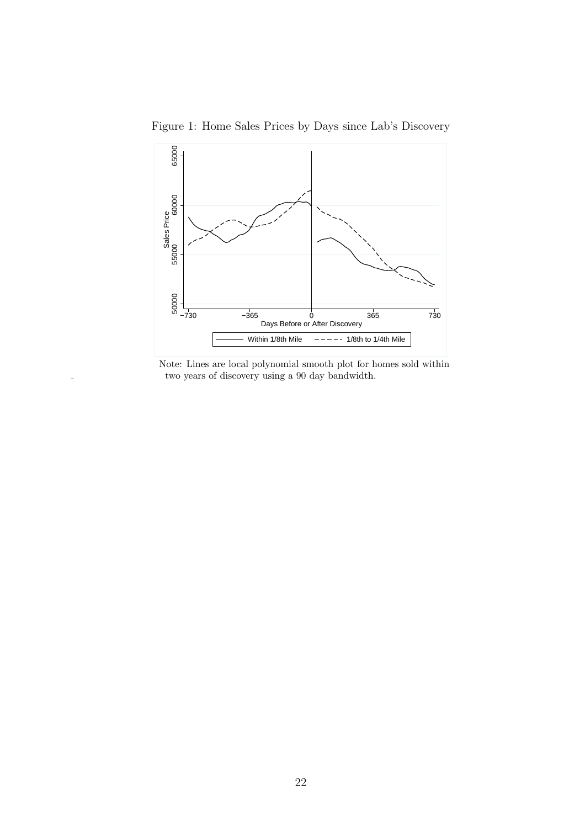

Figure 1: Home Sales Prices by Days since Lab's Discovery

Note: Lines are local polynomial smooth plot for homes sold within two years of discovery using a 90 day bandwidth.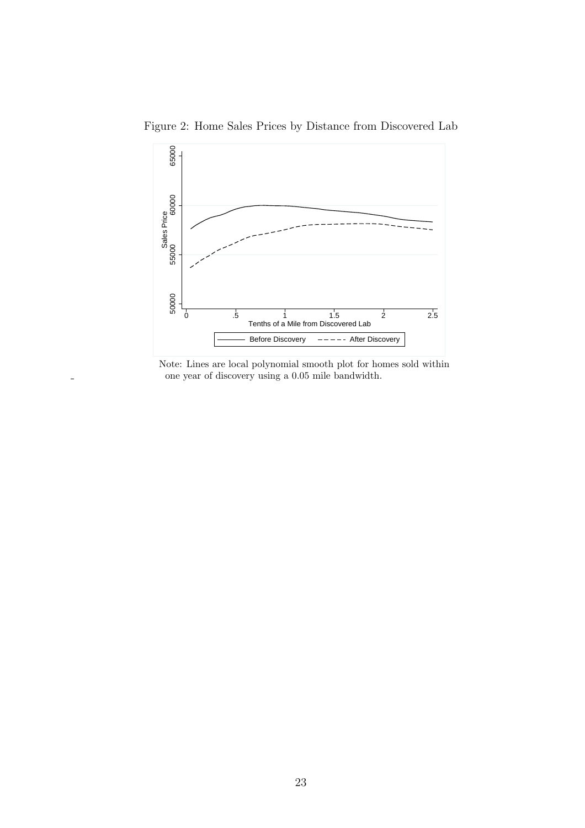

Figure 2: Home Sales Prices by Distance from Discovered Lab



 $\overline{a}$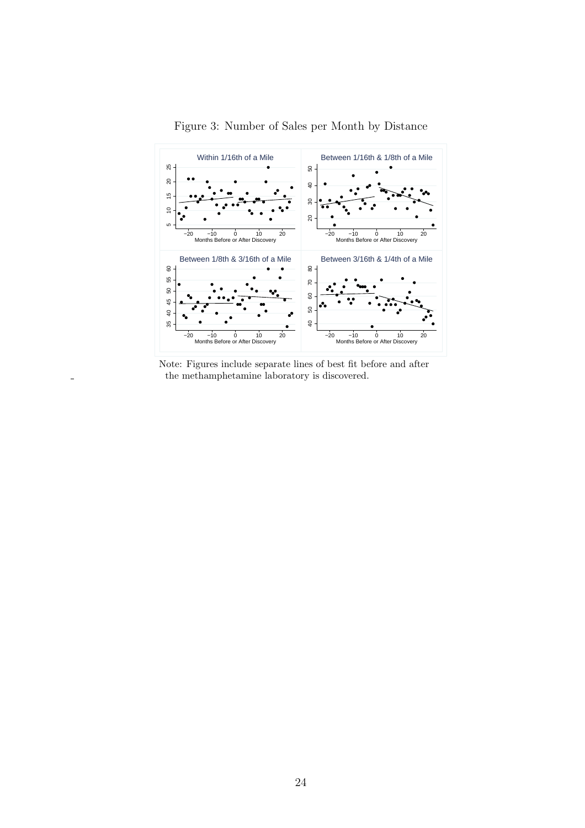

Figure 3: Number of Sales per Month by Distance

Note: Figures include separate lines of best fit before and after the methamphetamine laboratory is discovered.

 $\overline{a}$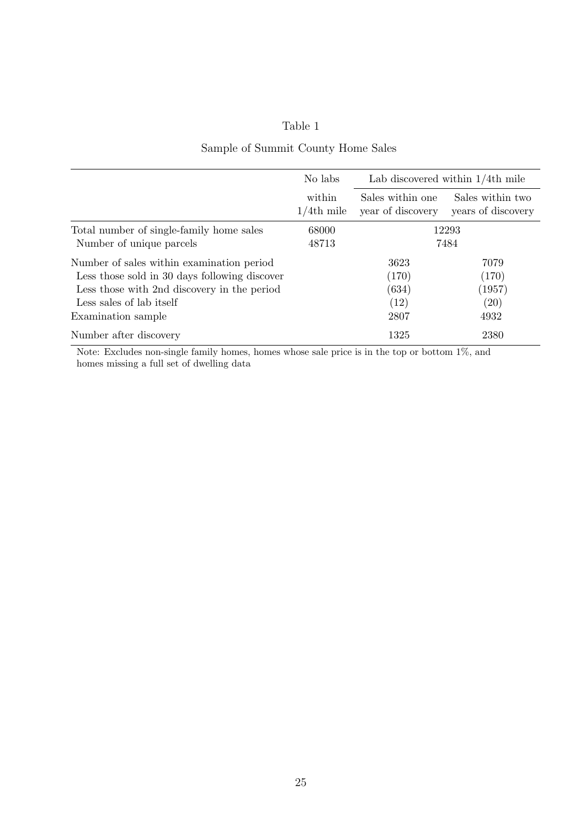### Sample of Summit County Home Sales

|                                               | No labs                 | Lab discovered within $1/4$ th mile   |                                        |
|-----------------------------------------------|-------------------------|---------------------------------------|----------------------------------------|
|                                               | within<br>$1/4$ th mile | Sales within one<br>year of discovery | Sales within two<br>years of discovery |
| Total number of single-family home sales      | 68000                   | 12293                                 |                                        |
| Number of unique parcels                      | 48713                   | 7484                                  |                                        |
| Number of sales within examination period     |                         | 3623                                  | 7079                                   |
| Less those sold in 30 days following discover |                         | (170)                                 | (170)                                  |
| Less those with 2nd discovery in the period   |                         | (634)                                 | (1957)                                 |
| Less sales of lab itself                      |                         | (12)                                  | (20)                                   |
| Examination sample                            |                         | 2807                                  | 4932                                   |
| Number after discovery                        |                         | 1325                                  | 2380                                   |

Note: Excludes non-single family homes, homes whose sale price is in the top or bottom 1%, and homes missing a full set of dwelling data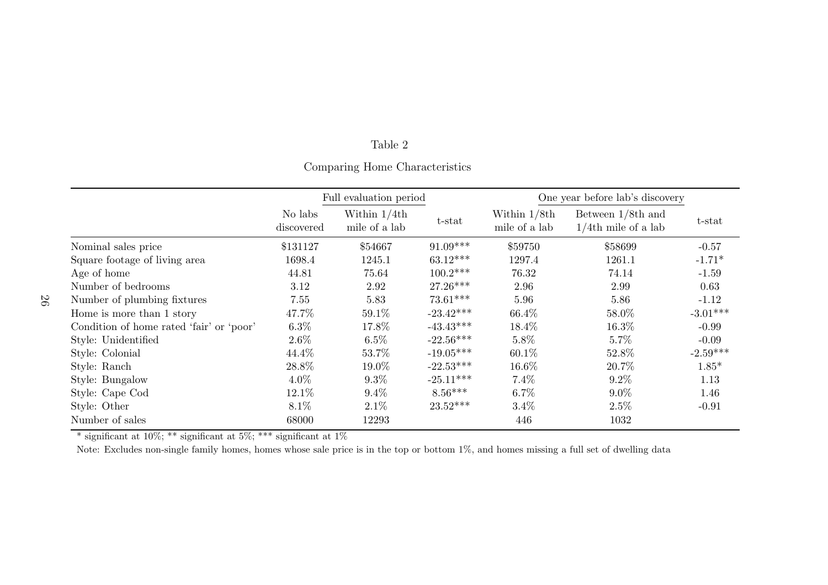#### Comparing Home Characteristics

|                                          | Full evaluation period |                                 | One year before lab's discovery |                                 |                                                |            |
|------------------------------------------|------------------------|---------------------------------|---------------------------------|---------------------------------|------------------------------------------------|------------|
|                                          | No labs<br>discovered  | Within $1/4th$<br>mile of a lab | t-stat                          | Within $1/8th$<br>mile of a lab | Between $1/8$ th and<br>$1/4$ th mile of a lab | t-stat     |
| Nominal sales price                      | \$131127               | \$54667                         | $91.09***$                      | \$59750                         | \$58699                                        | $-0.57$    |
| Square footage of living area            | 1698.4                 | 1245.1                          | $63.12***$                      | 1297.4                          | 1261.1                                         | $-1.71*$   |
| Age of home                              | 44.81                  | 75.64                           | $100.2***$                      | 76.32                           | 74.14                                          | $-1.59$    |
| Number of bedrooms                       | 3.12                   | 2.92                            | $27.26***$                      | 2.96                            | 2.99                                           | 0.63       |
| Number of plumbing fixtures              | 7.55                   | 5.83                            | $73.61***$                      | 5.96                            | 5.86                                           | $-1.12$    |
| Home is more than 1 story                | 47.7%                  | 59.1%                           | $-23.42***$                     | 66.4%                           | 58.0%                                          | $-3.01***$ |
| Condition of home rated 'fair' or 'poor' | $6.3\%$                | 17.8%                           | $-43.43***$                     | 18.4%                           | 16.3%                                          | $-0.99$    |
| Style: Unidentified                      | $2.6\%$                | $6.5\%$                         | $-22.56***$                     | $5.8\%$                         | $5.7\%$                                        | $-0.09$    |
| Style: Colonial                          | 44.4%                  | 53.7%                           | $-19.05***$                     | 60.1%                           | 52.8%                                          | $-2.59***$ |
| Style: Ranch                             | 28.8%                  | 19.0%                           | $-22.53***$                     | 16.6%                           | 20.7%                                          | $1.85*$    |
| Style: Bungalow                          | $4.0\%$                | $9.3\%$                         | $-25.11***$                     | $7.4\%$                         | $9.2\%$                                        | 1.13       |
| Style: Cape Cod                          | 12.1\%                 | $9.4\%$                         | $8.56***$                       | $6.7\%$                         | $9.0\%$                                        | 1.46       |
| Style: Other                             | $8.1\%$                | $2.1\%$                         | $23.52***$                      | $3.4\%$                         | 2.5%                                           | $-0.91$    |
| Number of sales                          | 68000                  | 12293                           |                                 | 446                             | 1032                                           |            |

\* significant at 10%; \*\* significant at 5%; \*\*\* significant at 1%

Note: Excludes non-single family homes, homes whose sale price is in the top or bottom 1%, and homes missing <sup>a</sup> full set of dwelling data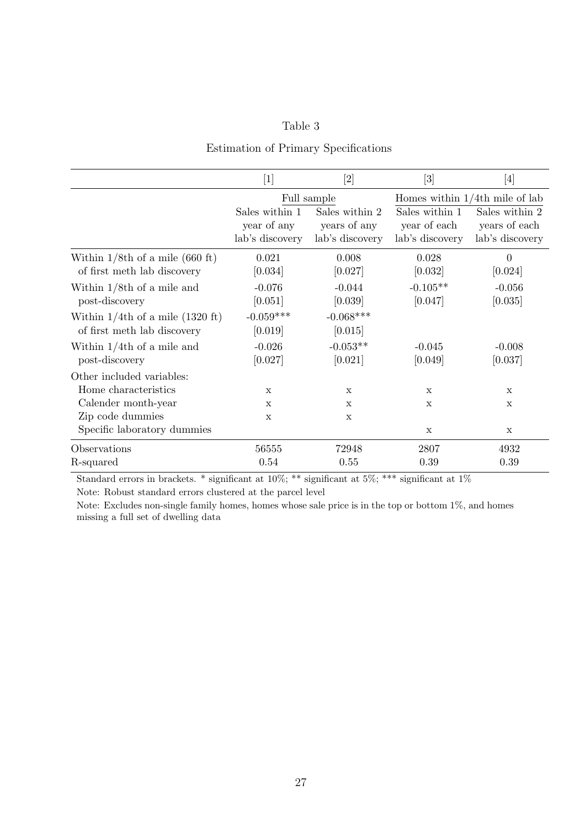### Estimation of Primary Specifications

|                                                                    | [1]                                              |                                                   | $[3] % \includegraphics[width=1\textwidth]{images/Traj_4.pdf} \caption{Schematic diagram of the estimators in the image. The left-hand side is the same as in the image.} \label{fig:Traj_4.pdf}$ | $[4] % \includegraphics[width=1\textwidth]{images/TrDiM-Architecture.png} \caption{The figure shows the results of the estimators in the left hand side.} \label{TrDiM-Architecture}$ |  |
|--------------------------------------------------------------------|--------------------------------------------------|---------------------------------------------------|---------------------------------------------------------------------------------------------------------------------------------------------------------------------------------------------------|---------------------------------------------------------------------------------------------------------------------------------------------------------------------------------------|--|
|                                                                    | Full sample                                      |                                                   |                                                                                                                                                                                                   | Homes within $1/4$ th mile of lab                                                                                                                                                     |  |
|                                                                    | Sales within 1<br>year of any<br>lab's discovery | Sales within 2<br>years of any<br>lab's discovery | Sales within 1<br>year of each<br>lab's discovery                                                                                                                                                 | Sales within 2<br>years of each<br>lab's discovery                                                                                                                                    |  |
| Within $1/8$ th of a mile (660 ft)<br>of first meth lab discovery  | 0.021<br>[0.034]                                 | 0.008<br>[0.027]                                  | 0.028<br>[0.032]                                                                                                                                                                                  | $\overline{0}$<br>[0.024]                                                                                                                                                             |  |
| Within $1/8$ th of a mile and<br>post-discovery                    | $-0.076$<br>[0.051]                              | $-0.044$<br>[0.039]                               | $-0.105**$<br>[0.047]                                                                                                                                                                             | $-0.056$<br>[0.035]                                                                                                                                                                   |  |
| Within $1/4$ th of a mile (1320 ft)<br>of first meth lab discovery | $-0.059***$<br>[0.019]                           | $-0.068***$<br>[0.015]                            |                                                                                                                                                                                                   |                                                                                                                                                                                       |  |
| Within $1/4$ th of a mile and<br>post-discovery                    | $-0.026$<br>[0.027]                              | $-0.053**$<br>[0.021]                             | $-0.045$<br>[0.049]                                                                                                                                                                               | $-0.008$<br>[0.037]                                                                                                                                                                   |  |
| Other included variables:                                          |                                                  |                                                   |                                                                                                                                                                                                   |                                                                                                                                                                                       |  |
| Home characteristics                                               | $\mathbf{x}$                                     | $\mathbf x$                                       | $\mathbf x$                                                                                                                                                                                       | $\mathbf x$                                                                                                                                                                           |  |
| Calender month-year                                                | X                                                | $\mathbf x$                                       | $\mathbf x$                                                                                                                                                                                       | $\mathbf x$                                                                                                                                                                           |  |
| Zip code dummies                                                   | X                                                | X                                                 |                                                                                                                                                                                                   |                                                                                                                                                                                       |  |
| Specific laboratory dummies                                        |                                                  |                                                   | X                                                                                                                                                                                                 | X                                                                                                                                                                                     |  |
| Observations<br>R-squared                                          | 56555<br>0.54                                    | 72948<br>0.55                                     | 2807<br>0.39                                                                                                                                                                                      | 4932<br>0.39                                                                                                                                                                          |  |

Standard errors in brackets. \* significant at  $10\%$ ; \*\* significant at  $5\%$ ; \*\*\* significant at  $1\%$ 

Note: Robust standard errors clustered at the parcel level

Note: Excludes non-single family homes, homes whose sale price is in the top or bottom 1%, and homes missing a full set of dwelling data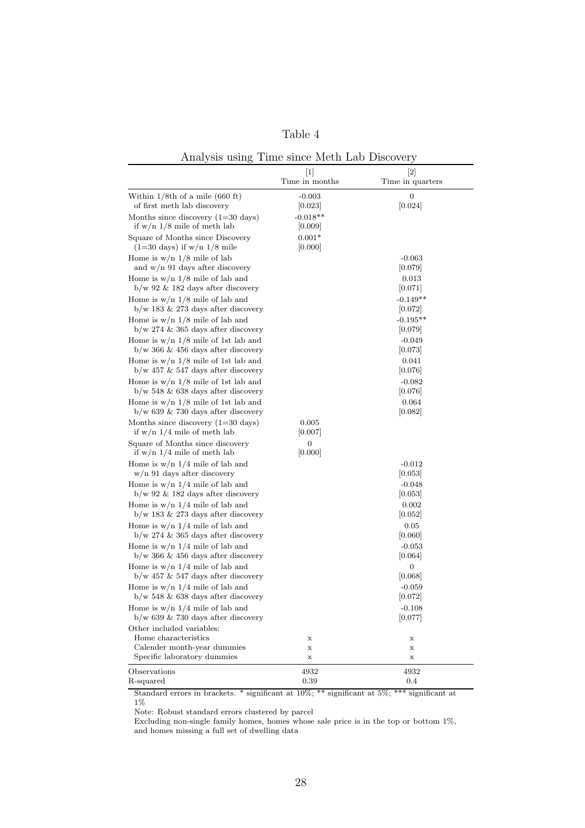| ante |  |
|------|--|
|------|--|

Analysis using Time since Meth Lab Discovery

|                                                                               | $[1]$<br>Time in months | $[2]$<br>Time in quarters |
|-------------------------------------------------------------------------------|-------------------------|---------------------------|
| Within $1/8$ th of a mile (660 ft)<br>of first meth lab discovery             | $-0.003$<br> 0.023      | 0<br>[0.024]              |
| Months since discovery $(1=30 \text{ days})$<br>if $w/n$ 1/8 mile of meth lab | $-0.018**$<br> 0.009    |                           |
| Square of Months since Discovery<br>$(1=30 \text{ days})$ if w/n $1/8$ mile   | $0.001*$<br> 0.000      |                           |
| Home is $w/n$ 1/8 mile of lab<br>and $w/n$ 91 days after discovery            |                         | $-0.063$<br> 0.079        |
| Home is $w/n$ 1/8 mile of lab and<br>$b/w$ 92 & 182 days after discovery      |                         | 0.013<br> 0.071           |
| Home is $w/n$ 1/8 mile of lab and<br>$b/w$ 183 & 273 days after discovery     |                         | $-0.149**$<br> 0.072      |
| Home is $w/n$ 1/8 mile of lab and<br>$b/w$ 274 & 365 days after discovery     |                         | $-0.195**$<br> 0.079      |
| Home is $w/n$ 1/8 mile of 1st lab and<br>$b/w$ 366 & 456 days after discovery |                         | $-0.049$<br> 0.073        |
| Home is $w/n$ 1/8 mile of 1st lab and<br>$b/w$ 457 & 547 days after discovery |                         | 0.041<br> 0.076           |
| Home is $w/n$ 1/8 mile of 1st lab and<br>$b/w$ 548 & 638 days after discovery |                         | $-0.082$<br> 0.076        |
| Home is $w/n$ 1/8 mile of 1st lab and<br>$b/w$ 639 & 730 days after discovery |                         | 0.064<br> 0.082           |
| Months since discovery $(1=30 \text{ days})$<br>if $w/n$ 1/4 mile of meth lab | 0.005<br> 0.007         |                           |
| Square of Months since discovery<br>if $w/n$ 1/4 mile of meth lab             | 0<br> 0.000             |                           |
| Home is $w/n$ 1/4 mile of lab and<br>w/n 91 days after discovery              |                         | $-0.012$<br> 0.053        |
| Home is $w/n$ 1/4 mile of lab and<br>$b/w$ 92 & 182 days after discovery      |                         | $-0.048$<br> 0.053        |
| Home is $w/n$ 1/4 mile of lab and<br>$b/w$ 183 & 273 days after discovery     |                         | 0.002<br>[0.052]          |
| Home is $w/n$ 1/4 mile of lab and<br>$b/w$ 274 & 365 days after discovery     |                         | 0.05<br> 0.060            |
| Home is $w/n$ 1/4 mile of lab and<br>$b/w$ 366 & 456 days after discovery     |                         | $-0.053$<br> 0.064        |
| Home is $w/n$ 1/4 mile of lab and<br>$b/w$ 457 & 547 days after discovery     |                         | 0<br> 0.068               |
| Home is $w/n$ 1/4 mile of lab and<br>$b/w$ 548 & 638 days after discovery     |                         | $-0.059$<br> 0.072        |
| Home is $w/n$ 1/4 mile of lab and<br>$b/w$ 639 & 730 days after discovery     |                         | $-0.108$<br> 0.077        |
| Other included variables:<br>Home characteristics                             | X                       | Х                         |
| Calender month-year dummies<br>Specific laboratory dummies                    | X<br>х                  | х<br>х                    |
| Observations<br>R-squared                                                     | 4932<br>0.39            | 4932<br>0.4               |

Standard errors in brackets. \* significant at 10%; \*\* significant at 5%; \*\*\* significant at  $1\%$ 

Note: Robust standard errors clustered by parcel

Excluding non-single family homes, homes whose sale price is in the top or bottom 1%, and homes missing a full set of dwelling data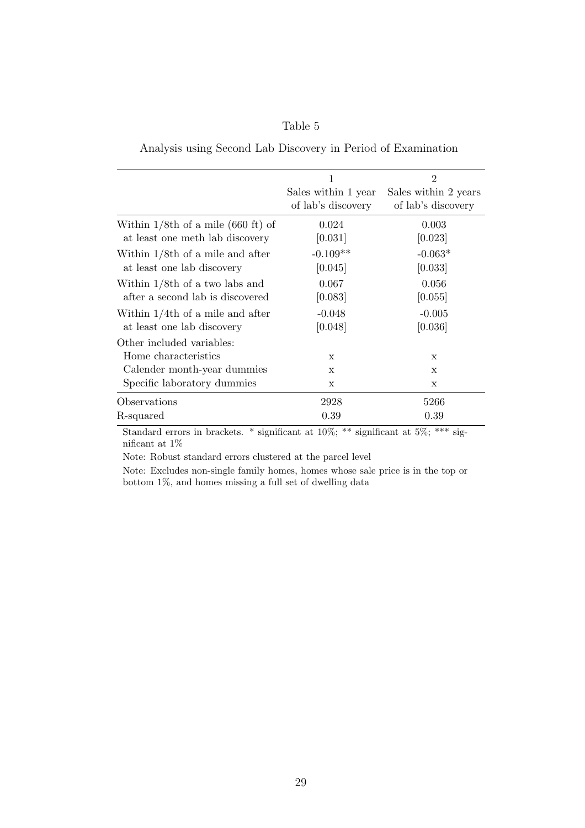| able |  |
|------|--|
|------|--|

|                                       | 1                   | $\overline{2}$       |
|---------------------------------------|---------------------|----------------------|
|                                       | Sales within 1 year | Sales within 2 years |
|                                       | of lab's discovery  | of lab's discovery   |
| Within $1/8$ th of a mile (660 ft) of | 0.024               | 0.003                |
| at least one meth lab discovery       | [0.031]             | [0.023]              |
| Within $1/8$ th of a mile and after   | $-0.109**$          | $-0.063*$            |
| at least one lab discovery            | [0.045]             | [0.033]              |
| Within $1/8$ th of a two labs and     | 0.067               | 0.056                |
| after a second lab is discovered      | [0.083]             | [0.055]              |
| Within $1/4$ th of a mile and after   | $-0.048$            | $-0.005$             |
| at least one lab discovery            | [0.048]             | [0.036]              |
| Other included variables:             |                     |                      |
| Home characteristics                  | $\mathbf x$         | X                    |
| Calender month-year dummies           | $\mathbf{x}$        | X                    |
| Specific laboratory dummies           | X                   | X                    |
| Observations                          | 2928                | 5266                 |
| R-squared                             | 0.39                | 0.39                 |

Standard errors in brackets. \* significant at 10%; \*\* significant at 5%; \*\*\* significant at 1%

Note: Robust standard errors clustered at the parcel level

Note: Excludes non-single family homes, homes whose sale price is in the top or bottom 1%, and homes missing a full set of dwelling data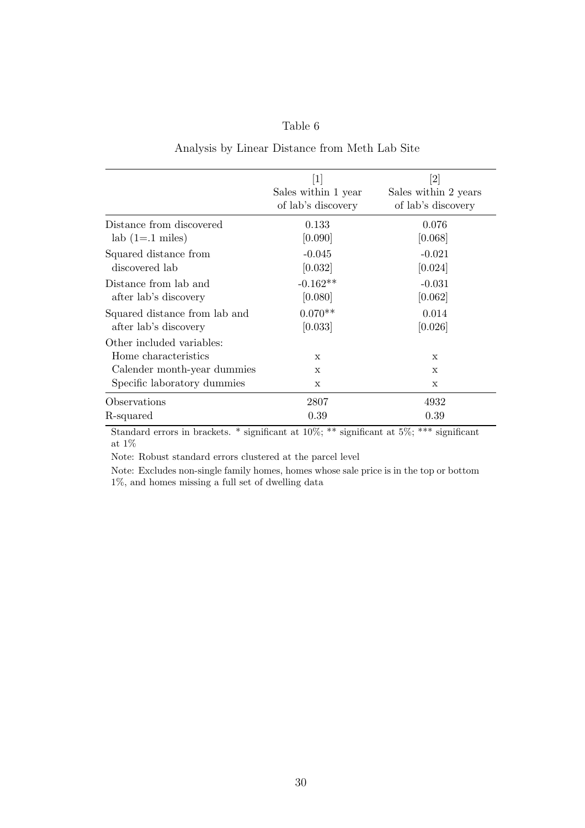#### Analysis by Linear Distance from Meth Lab Site

|                                                                                                                 | $\left\lceil 1 \right\rceil$<br>Sales within 1 year<br>of lab's discovery | Sales within 2 years<br>of lab's discovery |
|-----------------------------------------------------------------------------------------------------------------|---------------------------------------------------------------------------|--------------------------------------------|
| Distance from discovered                                                                                        | 0.133                                                                     | 0.076                                      |
| $lab(1=.1 \text{ miles})$                                                                                       | [0.090]                                                                   | [0.068]                                    |
| Squared distance from                                                                                           | $-0.045$                                                                  | $-0.021$                                   |
| discovered lab                                                                                                  | [0.032]                                                                   | [0.024]                                    |
| Distance from lab and                                                                                           | $-0.162**$                                                                | $-0.031$                                   |
| after lab's discovery                                                                                           | [0.080]                                                                   | [0.062]                                    |
| Squared distance from lab and                                                                                   | $0.070**$                                                                 | 0.014                                      |
| after lab's discovery                                                                                           | [0.033]                                                                   | [0.026]                                    |
| Other included variables:<br>Home characteristics<br>Calender month-year dummies<br>Specific laboratory dummies | X<br>X<br>X                                                               | $\mathbf{x}$<br>$\mathbf x$<br>X           |
| Observations                                                                                                    | 2807                                                                      | 4932                                       |
| R-squared                                                                                                       | 0.39                                                                      | 0.39                                       |

Standard errors in brackets. \* significant at 10%; \*\* significant at 5%; \*\*\* significant at  $1\%$ 

Note: Robust standard errors clustered at the parcel level

Note: Excludes non-single family homes, homes whose sale price is in the top or bottom 1%, and homes missing a full set of dwelling data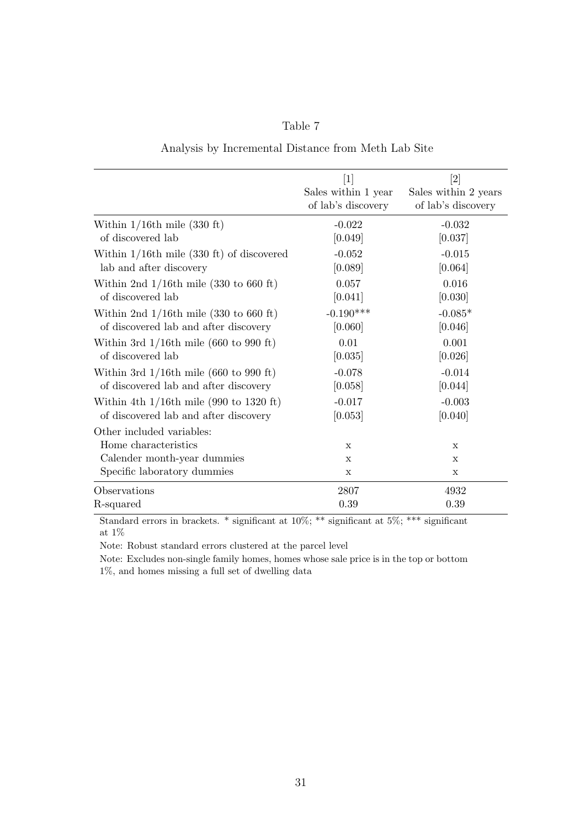| ante |
|------|
|------|

| Analysis by Incremental Distance from Meth Lab Site |  |
|-----------------------------------------------------|--|
|-----------------------------------------------------|--|

|                                                        | $[1]$                                     | $\left\lceil 2 \right\rceil$               |
|--------------------------------------------------------|-------------------------------------------|--------------------------------------------|
|                                                        | Sales within 1 year<br>of lab's discovery | Sales within 2 years<br>of lab's discovery |
| Within $1/16$ th mile (330 ft)                         | $-0.022$                                  | $-0.032$                                   |
| of discovered lab                                      | [0.049]                                   | [0.037]                                    |
| Within $1/16$ th mile $(330 \text{ ft})$ of discovered | $-0.052$                                  | $-0.015$                                   |
| lab and after discovery                                | [0.089]                                   | [0.064]                                    |
| Within 2nd $1/16$ th mile (330 to 660 ft)              | 0.057                                     | 0.016                                      |
| of discovered lab                                      | [0.041]                                   | [0.030]                                    |
| Within 2nd $1/16$ th mile (330 to 660 ft)              | $-0.190***$                               | $-0.085*$                                  |
| of discovered lab and after discovery                  | [0.060]                                   | [0.046]                                    |
| Within 3rd $1/16$ th mile (660 to 990 ft)              | 0.01                                      | 0.001                                      |
| of discovered lab                                      | [0.035]                                   | [0.026]                                    |
| Within 3rd $1/16$ th mile (660 to 990 ft)              | $-0.078$                                  | $-0.014$                                   |
| of discovered lab and after discovery                  | [0.058]                                   | [0.044]                                    |
| Within 4th $1/16$ th mile (990 to 1320 ft)             | $-0.017$                                  | $-0.003$                                   |
| of discovered lab and after discovery                  | [0.053]                                   | [0.040]                                    |
| Other included variables:<br>Home characteristics      | X                                         | X                                          |
| Calender month-year dummies                            | $\mathbf X$                               | X                                          |
| Specific laboratory dummies                            | X                                         | X                                          |
| Observations                                           | 2807                                      | 4932                                       |
| R-squared                                              | 0.39                                      | 0.39                                       |

Standard errors in brackets. \* significant at 10%; \*\* significant at 5%; \*\*\* significant at  $1\%$ 

Note: Robust standard errors clustered at the parcel level

Note: Excludes non-single family homes, homes whose sale price is in the top or bottom 1%, and homes missing a full set of dwelling data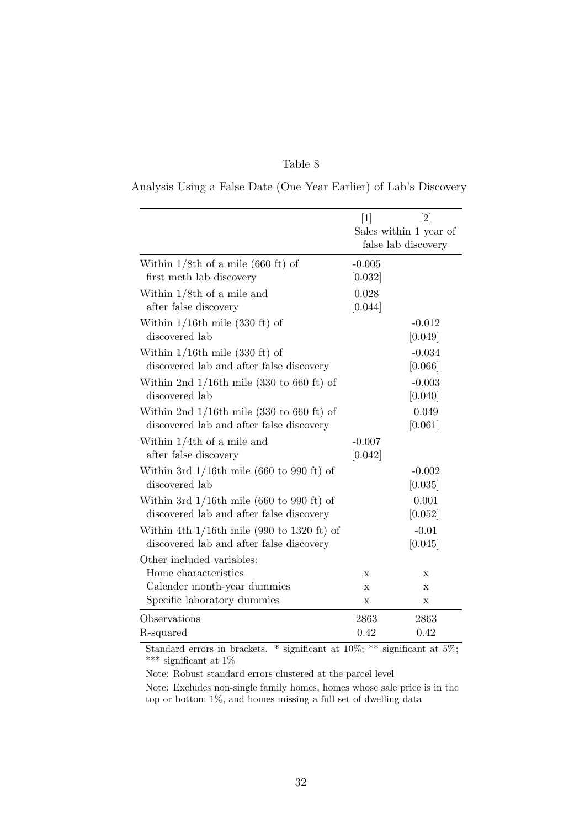| Analysis Using a False Date (One Year Earlier) of Lab's Discovery |  |  |
|-------------------------------------------------------------------|--|--|
|-------------------------------------------------------------------|--|--|

|                                                                                           | $\lceil 2 \rceil$<br>$[1]$<br>Sales within 1 year of<br>false lab discovery |                     |
|-------------------------------------------------------------------------------------------|-----------------------------------------------------------------------------|---------------------|
| Within $1/8$ th of a mile (660 ft) of<br>first meth lab discovery                         | $-0.005$<br>[0.032]                                                         |                     |
| Within $1/8$ th of a mile and<br>after false discovery                                    | 0.028<br>[0.044]                                                            |                     |
| Within $1/16$ th mile (330 ft) of<br>discovered lab                                       |                                                                             | $-0.012$<br>[0.049] |
| Within $1/16$ th mile $(330 \text{ ft})$ of<br>discovered lab and after false discovery   |                                                                             | $-0.034$<br>[0.066] |
| Within 2nd $1/16$ th mile (330 to 660 ft) of<br>discovered lab                            |                                                                             | $-0.003$<br>[0.040] |
| Within 2nd $1/16$ th mile (330 to 660 ft) of<br>discovered lab and after false discovery  |                                                                             | 0.049<br>[0.061]    |
| Within $1/4$ th of a mile and<br>after false discovery                                    | $-0.007$<br>[0.042]                                                         |                     |
| Within 3rd $1/16$ th mile (660 to 990 ft) of<br>discovered lab                            |                                                                             | $-0.002$<br>[0.035] |
| Within 3rd $1/16$ th mile (660 to 990 ft) of<br>discovered lab and after false discovery  |                                                                             | 0.001<br>[0.052]    |
| Within 4th $1/16$ th mile (990 to 1320 ft) of<br>discovered lab and after false discovery |                                                                             | $-0.01$<br>[0.045]  |
| Other included variables:                                                                 |                                                                             |                     |
| Home characteristics                                                                      | X                                                                           | X                   |
| Calender month-year dummies                                                               | X                                                                           | X                   |
| Specific laboratory dummies                                                               | X                                                                           | Х                   |
| Observations                                                                              | 2863                                                                        | 2863                |
| R-squared                                                                                 | 0.42                                                                        | 0.42                |

Standard errors in brackets. \* significant at 10%; \*\* significant at 5%;  $^{***}$  significant at  $1\%$ 

Note: Robust standard errors clustered at the parcel level

Note: Excludes non-single family homes, homes whose sale price is in the top or bottom 1%, and homes missing a full set of dwelling data